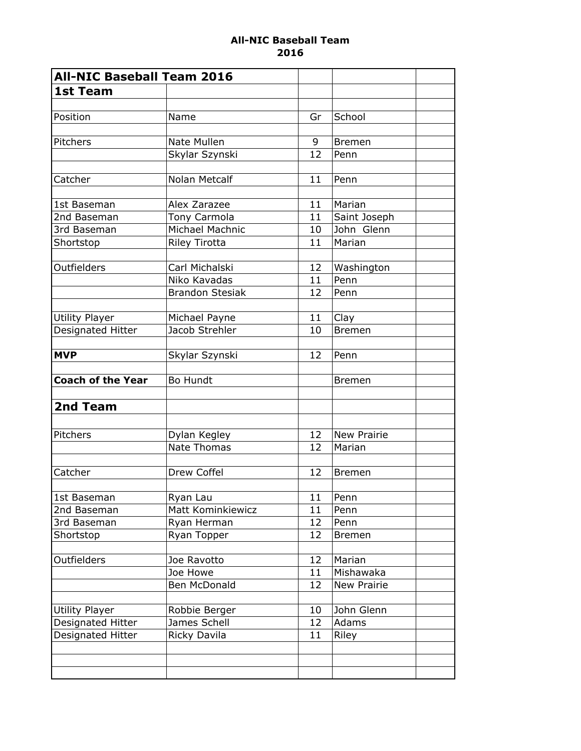## All-NIC Baseball Team 2016

| <b>All-NIC Baseball Team 2016</b> |                        |    |                    |  |
|-----------------------------------|------------------------|----|--------------------|--|
| <b>1st Team</b>                   |                        |    |                    |  |
|                                   |                        |    |                    |  |
| Position                          | Name                   | Gr | School             |  |
|                                   |                        |    |                    |  |
| Pitchers                          | Nate Mullen            | 9  | <b>Bremen</b>      |  |
|                                   | Skylar Szynski         | 12 | Penn               |  |
|                                   |                        |    |                    |  |
| Catcher                           | Nolan Metcalf          | 11 | Penn               |  |
|                                   |                        |    |                    |  |
| 1st Baseman                       | Alex Zarazee           | 11 | Marian             |  |
| 2nd Baseman                       | Tony Carmola           | 11 | Saint Joseph       |  |
| 3rd Baseman                       | Michael Machnic        | 10 | John Glenn         |  |
| Shortstop                         | <b>Riley Tirotta</b>   | 11 | Marian             |  |
|                                   |                        |    |                    |  |
| Outfielders                       | Carl Michalski         | 12 | Washington         |  |
|                                   | Niko Kavadas           | 11 | Penn               |  |
|                                   | <b>Brandon Stesiak</b> | 12 | Penn               |  |
|                                   |                        |    |                    |  |
| Utility Player                    | Michael Payne          | 11 | Clay               |  |
| Designated Hitter                 | Jacob Strehler         | 10 | <b>Bremen</b>      |  |
|                                   |                        |    |                    |  |
| <b>MVP</b>                        | Skylar Szynski         | 12 | Penn               |  |
|                                   |                        |    |                    |  |
| <b>Coach of the Year</b>          | <b>Bo Hundt</b>        |    | <b>Bremen</b>      |  |
|                                   |                        |    |                    |  |
| 2nd Team                          |                        |    |                    |  |
|                                   |                        |    |                    |  |
| Pitchers                          | Dylan Kegley           | 12 | <b>New Prairie</b> |  |
|                                   | Nate Thomas            | 12 | Marian             |  |
|                                   |                        |    |                    |  |
| Catcher                           | Drew Coffel            | 12 | <b>Bremen</b>      |  |
|                                   |                        |    |                    |  |
| 1st Baseman                       | Ryan Lau               | 11 | Penn               |  |
| 2nd Baseman                       | Matt Kominkiewicz      | 11 | Penn               |  |
| 3rd Baseman                       | Ryan Herman            | 12 | Penn               |  |
| Shortstop                         | Ryan Topper            | 12 | <b>Bremen</b>      |  |
|                                   |                        |    |                    |  |
| Outfielders                       | Joe Ravotto            | 12 | Marian             |  |
|                                   | Joe Howe               | 11 | Mishawaka          |  |
|                                   | Ben McDonald           | 12 | New Prairie        |  |
|                                   |                        |    |                    |  |
| Utility Player                    | Robbie Berger          | 10 | John Glenn         |  |
| Designated Hitter                 | James Schell           | 12 | Adams              |  |
| Designated Hitter                 | Ricky Davila           | 11 | Riley              |  |
|                                   |                        |    |                    |  |
|                                   |                        |    |                    |  |
|                                   |                        |    |                    |  |